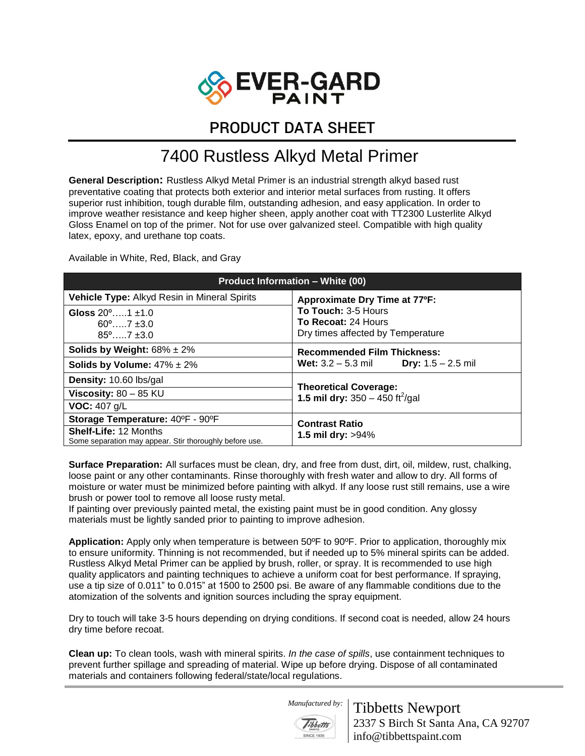

## PRODUCT DATA SHEET

## 7400 Rustless Alkyd Metal Primer

**General Description:** Rustless Alkyd Metal Primer is an industrial strength alkyd based rust preventative coating that protects both exterior and interior metal surfaces from rusting. It offers superior rust inhibition, tough durable film, outstanding adhesion, and easy application. In order to improve weather resistance and keep higher sheen, apply another coat with TT2300 Lusterlite Alkyd Gloss Enamel on top of the primer. Not for use over galvanized steel. Compatible with high quality latex, epoxy, and urethane top coats.

Available in White, Red, Black, and Gray

| <b>Product Information – White (00)</b>                                                 |                                                                                                  |
|-----------------------------------------------------------------------------------------|--------------------------------------------------------------------------------------------------|
| Vehicle Type: Alkyd Resin in Mineral Spirits                                            | Approximate Dry Time at 77°F:                                                                    |
| Gloss $20^{\circ}$ 1 +1.0                                                               | To Touch: 3-5 Hours<br>To Recoat: 24 Hours<br>Dry times affected by Temperature                  |
| $60^{\circ}$ $7 + 3.0^{\circ}$                                                          |                                                                                                  |
| $85^{\circ}$ 7 $\pm 3.0$                                                                |                                                                                                  |
| Solids by Weight: $68\% \pm 2\%$                                                        | <b>Recommended Film Thickness:</b><br><b>Wet:</b> $3.2 - 5.3$ mil<br><b>Dry:</b> $1.5 - 2.5$ mil |
| Solids by Volume: $47\% \pm 2\%$                                                        |                                                                                                  |
| Density: 10.60 lbs/gal                                                                  | <b>Theoretical Coverage:</b><br>1.5 mil dry: $350 - 450$ ft <sup>2</sup> /gal                    |
| Viscosity: $80 - 85$ KU                                                                 |                                                                                                  |
| <b>VOC:</b> 407 $q/L$                                                                   |                                                                                                  |
| Storage Temperature: 40°F - 90°F                                                        | <b>Contrast Ratio</b><br><b>1.5 mil dry: &gt;94%</b>                                             |
| <b>Shelf-Life: 12 Months</b><br>Some separation may appear. Stir thoroughly before use. |                                                                                                  |

**Surface Preparation:** All surfaces must be clean, dry, and free from dust, dirt, oil, mildew, rust, chalking, loose paint or any other contaminants. Rinse thoroughly with fresh water and allow to dry. All forms of moisture or water must be minimized before painting with alkyd. If any loose rust still remains, use a wire brush or power tool to remove all loose rusty metal.

If painting over previously painted metal, the existing paint must be in good condition. Any glossy materials must be lightly sanded prior to painting to improve adhesion.

**Application:** Apply only when temperature is between 50ºF to 90ºF. Prior to application, thoroughly mix to ensure uniformity. Thinning is not recommended, but if needed up to 5% mineral spirits can be added. Rustless Alkyd Metal Primer can be applied by brush, roller, or spray. It is recommended to use high quality applicators and painting techniques to achieve a uniform coat for best performance. If spraying, use a tip size of 0.011" to 0.015" at 1500 to 2500 psi. Be aware of any flammable conditions due to the atomization of the solvents and ignition sources including the spray equipment.

Dry to touch will take 3-5 hours depending on drying conditions. If second coat is needed, allow 24 hours dry time before recoat.

**Clean up:** To clean tools, wash with mineral spirits. *In the case of spills*, use containment techniques to prevent further spillage and spreading of material. Wipe up before drying. Dispose of all contaminated materials and containers following federal/state/local regulations.

 *Manufactured by:* 



Tibbetts Newport 2337 S Birch St Santa Ana, CA 92707 info@tibbettspaint.com